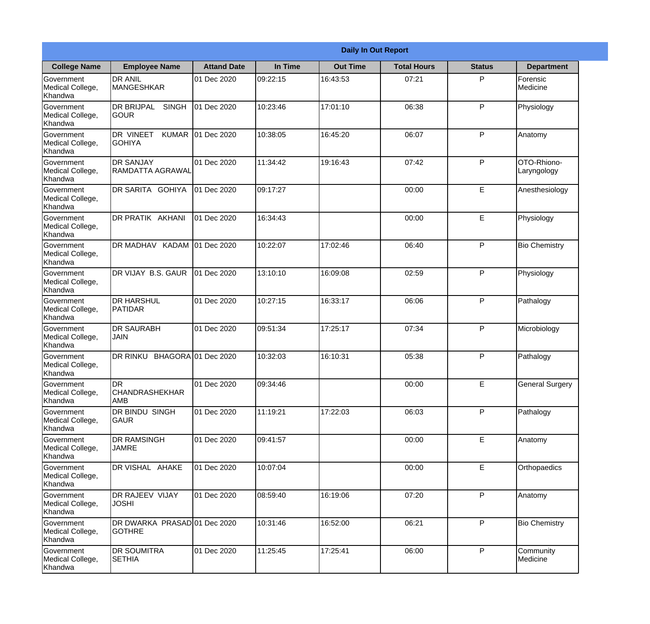|                                           |                                               | <b>Daily In Out Report</b> |          |                 |                    |               |                            |  |  |  |
|-------------------------------------------|-----------------------------------------------|----------------------------|----------|-----------------|--------------------|---------------|----------------------------|--|--|--|
| <b>College Name</b>                       | <b>Employee Name</b>                          | <b>Attand Date</b>         | In Time  | <b>Out Time</b> | <b>Total Hours</b> | <b>Status</b> | <b>Department</b>          |  |  |  |
| Government<br>Medical College,<br>Khandwa | <b>DR ANIL</b><br><b>MANGESHKAR</b>           | 01 Dec 2020                | 09:22:15 | 16:43:53        | 07:21              | P             | Forensic<br>Medicine       |  |  |  |
| Government<br>Medical College,<br>Khandwa | DR BRIJPAL<br><b>SINGH</b><br><b>GOUR</b>     | 01 Dec 2020                | 10:23:46 | 17:01:10        | 06:38              | P             | Physiology                 |  |  |  |
| Government<br>Medical College,<br>Khandwa | DR VINEET<br><b>KUMAR</b><br><b>GOHIYA</b>    | 01 Dec 2020                | 10:38:05 | 16:45:20        | 06:07              | P             | Anatomy                    |  |  |  |
| Government<br>Medical College,<br>Khandwa | <b>DR SANJAY</b><br>RAMDATTA AGRAWAL          | 01 Dec 2020                | 11:34:42 | 19:16:43        | 07:42              | P             | OTO-Rhiono-<br>Laryngology |  |  |  |
| Government<br>Medical College,<br>Khandwa | DR SARITA GOHIYA                              | 01 Dec 2020                | 09:17:27 |                 | 00:00              | E             | Anesthesiology             |  |  |  |
| Government<br>Medical College,<br>Khandwa | DR PRATIK AKHANI                              | 01 Dec 2020                | 16:34:43 |                 | 00:00              | E             | Physiology                 |  |  |  |
| Government<br>Medical College,<br>Khandwa | DR MADHAV KADAM 01 Dec 2020                   |                            | 10:22:07 | 17:02:46        | 06:40              | P             | <b>Bio Chemistry</b>       |  |  |  |
| Government<br>Medical College,<br>Khandwa | DR VIJAY B.S. GAUR                            | 01 Dec 2020                | 13:10:10 | 16:09:08        | 02:59              | P             | Physiology                 |  |  |  |
| Government<br>Medical College,<br>Khandwa | <b>DR HARSHUL</b><br>PATIDAR                  | 01 Dec 2020                | 10:27:15 | 16:33:17        | 06:06              | P             | Pathalogy                  |  |  |  |
| Government<br>Medical College,<br>Khandwa | <b>DR SAURABH</b><br><b>JAIN</b>              | 01 Dec 2020                | 09:51:34 | 17:25:17        | 07:34              | P             | Microbiology               |  |  |  |
| Government<br>Medical College,<br>Khandwa | <b>DR RINKU</b>                               | BHAGORA 01 Dec 2020        | 10:32:03 | 16:10:31        | 05:38              | $\mathsf{P}$  | Pathalogy                  |  |  |  |
| Government<br>Medical College,<br>Khandwa | <b>DR</b><br><b>CHANDRASHEKHAR</b><br> AMB    | 01 Dec 2020                | 09:34:46 |                 | 00:00              | E             | <b>General Surgery</b>     |  |  |  |
| Government<br>Medical College,<br>Khandwa | DR BINDU SINGH<br>GAUR                        | 01 Dec 2020                | 11:19:21 | 17:22:03        | 06:03              | P             | Pathalogy                  |  |  |  |
| Government<br>Medical College,<br>Khandwa | DR RAMSINGH<br><b>JAMRE</b>                   | 01 Dec 2020                | 09:41:57 |                 | 00:00              | E             | Anatomy                    |  |  |  |
| Government<br>Medical College,<br>Khandwa | DR VISHAL AHAKE                               | 01 Dec 2020                | 10:07:04 |                 | 00:00              | E             | Orthopaedics               |  |  |  |
| Government<br>Medical College,<br>Khandwa | DR RAJEEV VIJAY<br><b>JOSHI</b>               | 01 Dec 2020                | 08:59:40 | 16:19:06        | 07:20              | P             | Anatomy                    |  |  |  |
| Government<br>Medical College,<br>Khandwa | DR DWARKA PRASAD 01 Dec 2020<br><b>GOTHRE</b> |                            | 10:31:46 | 16:52:00        | 06:21              | P             | <b>Bio Chemistry</b>       |  |  |  |
| Government<br>Medical College,<br>Khandwa | DR SOUMITRA<br><b>SETHIA</b>                  | 01 Dec 2020                | 11:25:45 | 17:25:41        | 06:00              | $\mathsf{P}$  | Community<br>Medicine      |  |  |  |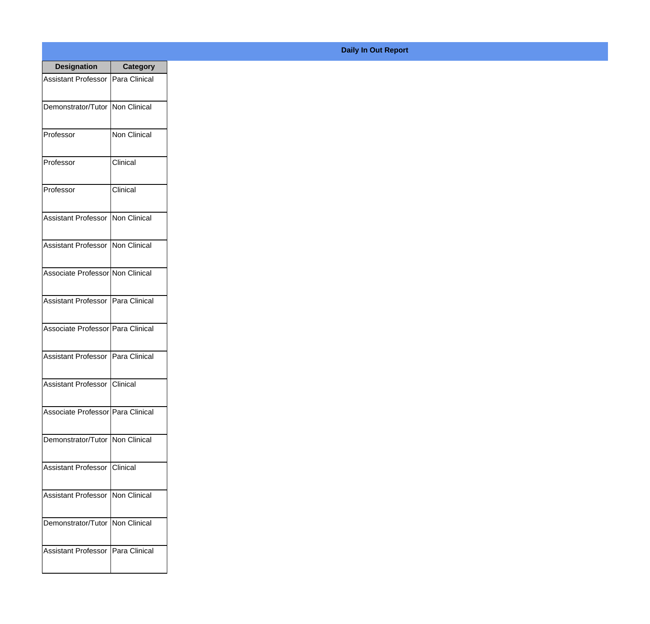| <b>Designation</b>                        | <b>Category</b>      |
|-------------------------------------------|----------------------|
| Assistant Professor                       | Para Clinical        |
| Demonstrator/Tutor   Non Clinical         |                      |
| Professor                                 | <b>Non Clinical</b>  |
| Professor                                 | Clinical             |
| Professor                                 | Clinical             |
| <b>Assistant Professor</b>                | Non Clinical         |
| <b>Assistant Professor</b>                | <b>INon Clinical</b> |
| Associate Professor Non Clinical          |                      |
| <b>Assistant Professor</b>                | Para Clinical        |
| Associate Professor   Para Clinical       |                      |
| <b>Assistant Professor</b>                | Para Clinical        |
| Assistant Professor   Clinical            |                      |
| Associate Professor   Para Clinical       |                      |
| Demonstrator/Tutor Non Clinical           |                      |
| <b>Assistant Professor</b>                | Clinical             |
| <b>Assistant Professor   Non Clinical</b> |                      |
| Demonstrator/Tutor   Non Clinical         |                      |
| Assistant Professor   Para Clinical       |                      |

## **Daily In Out Report**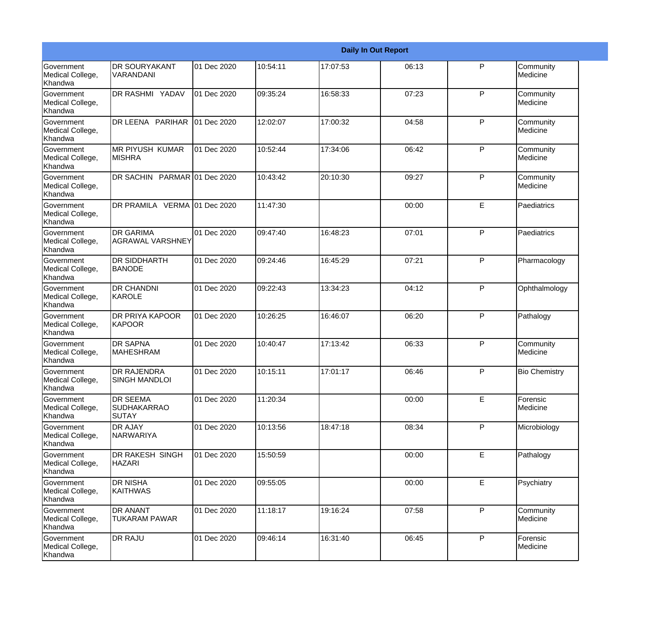|                                                  | <b>Daily In Out Report</b>                     |             |          |          |       |              |                       |  |  |
|--------------------------------------------------|------------------------------------------------|-------------|----------|----------|-------|--------------|-----------------------|--|--|
| Government<br>Medical College,<br>Khandwa        | <b>DR SOURYAKANT</b><br>VARANDANI              | 01 Dec 2020 | 10:54:11 | 17:07:53 | 06:13 | P            | Community<br>Medicine |  |  |
| Government<br>Medical College,<br>Khandwa        | <b>DR RASHMI YADAV</b>                         | 01 Dec 2020 | 09:35:24 | 16:58:33 | 07:23 | P            | Community<br>Medicine |  |  |
| <b>Government</b><br>Medical College,<br>Khandwa | DR LEENA PARIHAR                               | 01 Dec 2020 | 12:02:07 | 17:00:32 | 04:58 | P            | Community<br>Medicine |  |  |
| <b>Government</b><br>Medical College,<br>Khandwa | IMR PIYUSH KUMAR<br><b>MISHRA</b>              | 01 Dec 2020 | 10:52:44 | 17:34:06 | 06:42 | P            | Community<br>Medicine |  |  |
| Government<br>Medical College,<br>Khandwa        | DR SACHIN PARMAR 01 Dec 2020                   |             | 10:43:42 | 20:10:30 | 09:27 | P            | Community<br>Medicine |  |  |
| Government<br>Medical College,<br>Khandwa        | DR PRAMILA VERMA 01 Dec 2020                   |             | 11:47:30 |          | 00:00 | E            | Paediatrics           |  |  |
| Government<br>Medical College,<br>Khandwa        | <b>DR GARIMA</b><br>AGRAWAL VARSHNEY           | 01 Dec 2020 | 09:47:40 | 16:48:23 | 07:01 | P            | Paediatrics           |  |  |
| Government<br>Medical College,<br>Khandwa        | <b>DR SIDDHARTH</b><br><b>BANODE</b>           | 01 Dec 2020 | 09:24:46 | 16:45:29 | 07:21 | $\mathsf{P}$ | Pharmacology          |  |  |
| Government<br>Medical College,<br>Khandwa        | <b>DR CHANDNI</b><br>KAROLE                    | 01 Dec 2020 | 09:22:43 | 13:34:23 | 04:12 | P            | Ophthalmology         |  |  |
| <b>Government</b><br>Medical College,<br>Khandwa | <b>DR PRIYA KAPOOR</b><br>KAPOOR               | 01 Dec 2020 | 10:26:25 | 16:46:07 | 06:20 | $\mathsf{P}$ | Pathalogy             |  |  |
| <b>Government</b><br>Medical College,<br>Khandwa | <b>DR SAPNA</b><br><b>MAHESHRAM</b>            | 01 Dec 2020 | 10:40:47 | 17:13:42 | 06:33 | P            | Community<br>Medicine |  |  |
| Government<br>Medical College,<br>Khandwa        | DR RAJENDRA<br><b>SINGH MANDLOI</b>            | 01 Dec 2020 | 10:15:11 | 17:01:17 | 06:46 | $\mathsf{P}$ | <b>Bio Chemistry</b>  |  |  |
| Government<br>Medical College,<br>Khandwa        | DR SEEMA<br><b>SUDHAKARRAO</b><br><b>SUTAY</b> | 01 Dec 2020 | 11:20:34 |          | 00:00 | E            | Forensic<br>Medicine  |  |  |
| Government<br>Medical College,<br>Khandwa        | DR AJAY<br>NARWARIYA                           | 01 Dec 2020 | 10:13:56 | 18:47:18 | 08:34 | P            | Microbiology          |  |  |
| Government<br>Medical College,<br>Khandwa        | <b>DR RAKESH SINGH</b><br><b>HAZARI</b>        | 01 Dec 2020 | 15:50:59 |          | 00:00 | E            | Pathalogy             |  |  |
| Government<br>Medical College,<br>Khandwa        | DR NISHA<br>KAITHWAS                           | 01 Dec 2020 | 09:55:05 |          | 00:00 | E            | Psychiatry            |  |  |
| Government<br>Medical College,<br>Khandwa        | DR ANANT<br><b>TUKARAM PAWAR</b>               | 01 Dec 2020 | 11:18:17 | 19:16:24 | 07:58 | P            | Community<br>Medicine |  |  |
| Government<br>Medical College,<br>Khandwa        | DR RAJU                                        | 01 Dec 2020 | 09:46:14 | 16:31:40 | 06:45 | P            | Forensic<br>Medicine  |  |  |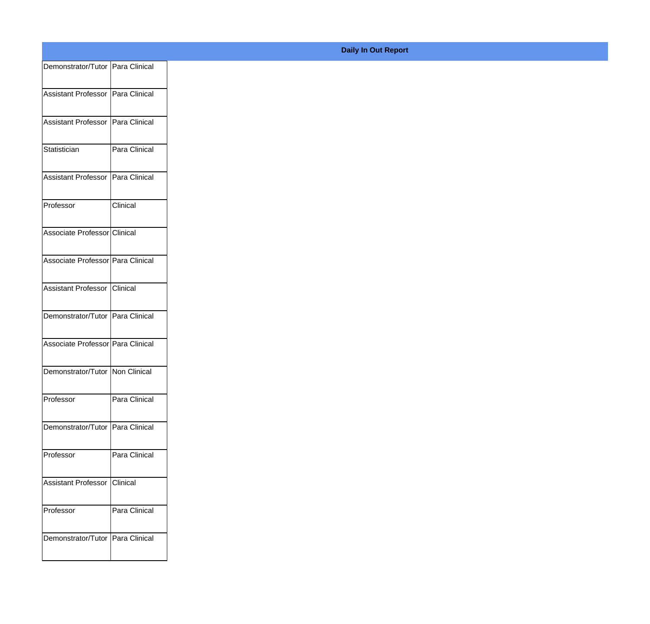| Demonstrator/Tutor Para Clinical    |               |
|-------------------------------------|---------------|
| Assistant Professor Para Clinical   |               |
|                                     |               |
| Assistant Professor Para Clinical   |               |
| Statistician                        | Para Clinical |
|                                     |               |
| Assistant Professor   Para Clinical |               |
| Professor                           | Clinical      |
| Associate Professor Clinical        |               |
|                                     |               |
| Associate Professor Para Clinical   |               |
| Assistant Professor Clinical        |               |
|                                     |               |
| Demonstrator/Tutor Para Clinical    |               |
| Associate Professor Para Clinical   |               |
| Demonstrator/Tutor Non Clinical     |               |
|                                     |               |
| Professor                           | Para Clinical |
| Demonstrator/Tutor Para Clinical    |               |
|                                     |               |
| Professor                           | Para Clinical |
| Assistant Professor Clinical        |               |
| Professor                           | Para Clinical |
|                                     |               |
| Demonstrator/Tutor Para Clinical    |               |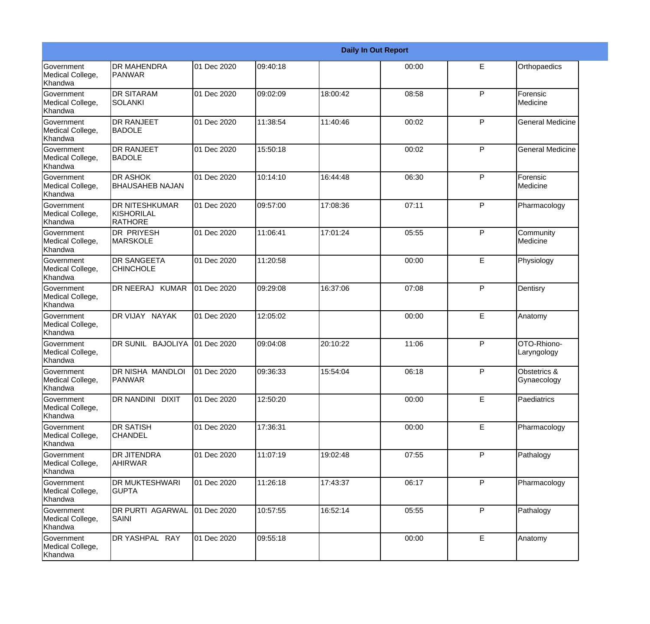|                                           |                                                |             |          |          | <b>Daily In Out Report</b> |              |                             |
|-------------------------------------------|------------------------------------------------|-------------|----------|----------|----------------------------|--------------|-----------------------------|
| Government<br>Medical College,<br>Khandwa | <b>DR MAHENDRA</b><br><b>PANWAR</b>            | 01 Dec 2020 | 09:40:18 |          | 00:00                      | E            | Orthopaedics                |
| Government<br>Medical College,<br>Khandwa | <b>DR SITARAM</b><br>ISOLANKI                  | 01 Dec 2020 | 09:02:09 | 18:00:42 | 08:58                      | $\mathsf{P}$ | Forensic<br>Medicine        |
| Government<br>Medical College,<br>Khandwa | <b>DR RANJEET</b><br><b>BADOLE</b>             | 01 Dec 2020 | 11:38:54 | 11:40:46 | 00:02                      | P            | <b>General Medicine</b>     |
| Government<br>Medical College,<br>Khandwa | <b>DR RANJEET</b><br><b>BADOLE</b>             | 01 Dec 2020 | 15:50:18 |          | 00:02                      | $\mathsf{P}$ | <b>General Medicine</b>     |
| Government<br>Medical College,<br>Khandwa | <b>DR ASHOK</b><br><b>BHAUSAHEB NAJAN</b>      | 01 Dec 2020 | 10:14:10 | 16:44:48 | 06:30                      | P            | Forensic<br>Medicine        |
| Government<br>Medical College,<br>Khandwa | <b>DR NITESHKUMAR</b><br>KISHORILAL<br>RATHORE | 01 Dec 2020 | 09:57:00 | 17:08:36 | 07:11                      | $\mathsf{P}$ | Pharmacology                |
| Government<br>Medical College,<br>Khandwa | <b>DR PRIYESH</b><br>MARSKOLE                  | 01 Dec 2020 | 11:06:41 | 17:01:24 | 05:55                      | $\mathsf{P}$ | Community<br>Medicine       |
| Government<br>Medical College,<br>Khandwa | <b>DR SANGEETA</b><br><b>CHINCHOLE</b>         | 01 Dec 2020 | 11:20:58 |          | 00:00                      | E            | Physiology                  |
| Government<br>Medical College,<br>Khandwa | DR NEERAJ KUMAR                                | 01 Dec 2020 | 09:29:08 | 16:37:06 | 07:08                      | $\mathsf{P}$ | Dentisry                    |
| Government<br>Medical College,<br>Khandwa | DR VIJAY NAYAK                                 | 01 Dec 2020 | 12:05:02 |          | 00:00                      | E            | Anatomy                     |
| Government<br>Medical College,<br>Khandwa | DR SUNIL BAJOLIYA                              | 01 Dec 2020 | 09:04:08 | 20:10:22 | 11:06                      | P            | OTO-Rhiono-<br>Laryngology  |
| Government<br>Medical College,<br>Khandwa | <b>DR NISHA MANDLOI</b><br>PANWAR              | 01 Dec 2020 | 09:36:33 | 15:54:04 | 06:18                      | P            | Obstetrics &<br>Gynaecology |
| Government<br>Medical College,<br>Khandwa | DR NANDINI DIXIT                               | 01 Dec 2020 | 12:50:20 |          | 00:00                      | E            | Paediatrics                 |
| Government<br>Medical College,<br>Khandwa | <b>DR SATISH</b><br><b>CHANDEL</b>             | 01 Dec 2020 | 17:36:31 |          | 00:00                      | E            | Pharmacology                |
| Government<br>Medical College,<br>Khandwa | <b>DR JITENDRA</b><br>AHIRWAR                  | 01 Dec 2020 | 11:07:19 | 19:02:48 | 07:55                      | P            | Pathalogy                   |
| Government<br>Medical College,<br>Khandwa | <b>DR MUKTESHWARI</b><br><b>GUPTA</b>          | 01 Dec 2020 | 11:26:18 | 17:43:37 | 06:17                      | P            | Pharmacology                |
| Government<br>Medical College,<br>Khandwa | DR PURTI AGARWAL<br><b>SAINI</b>               | 01 Dec 2020 | 10:57:55 | 16:52:14 | 05:55                      | P            | Pathalogy                   |
| Government<br>Medical College,<br>Khandwa | DR YASHPAL RAY                                 | 01 Dec 2020 | 09:55:18 |          | 00:00                      | E            | Anatomy                     |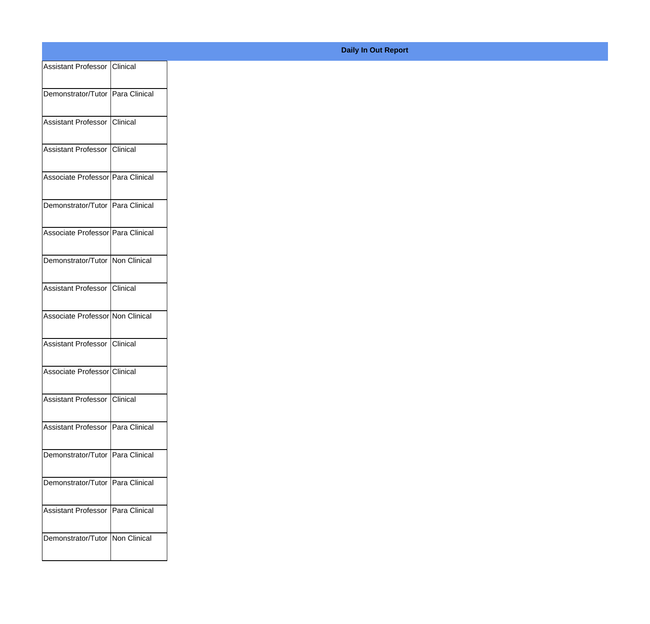| Assistant Professor Clinical        |  |
|-------------------------------------|--|
| Demonstrator/Tutor Para Clinical    |  |
|                                     |  |
| Assistant Professor Clinical        |  |
| Assistant Professor Clinical        |  |
| Associate Professor Para Clinical   |  |
|                                     |  |
| Demonstrator/Tutor Para Clinical    |  |
| Associate Professor Para Clinical   |  |
| Demonstrator/Tutor Non Clinical     |  |
|                                     |  |
| Assistant Professor Clinical        |  |
| Associate Professor Non Clinical    |  |
| Assistant Professor Clinical        |  |
| Associate Professor Clinical        |  |
|                                     |  |
| Assistant Professor Clinical        |  |
| Assistant Professor Para Clinical   |  |
| Demonstrator/Tutor Para Clinical    |  |
| Demonstrator/Tutor Para Clinical    |  |
|                                     |  |
| Assistant Professor   Para Clinical |  |
| Demonstrator/Tutor   Non Clinical   |  |
|                                     |  |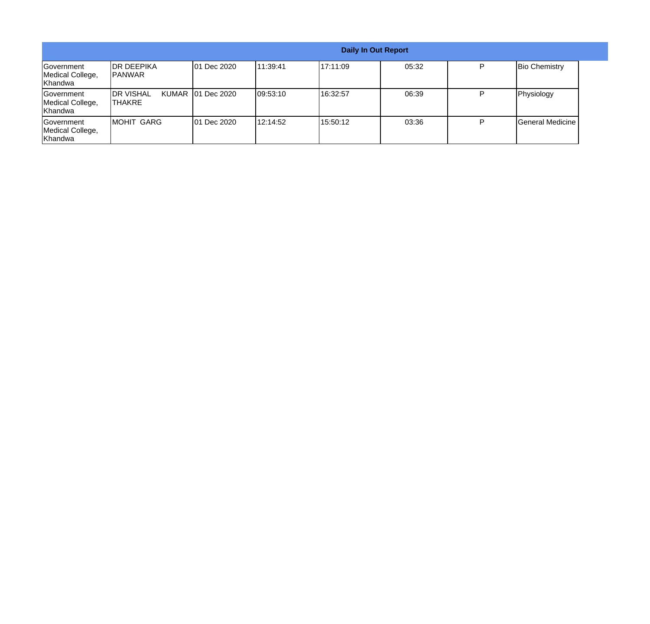|                                           | <b>Daily In Out Report</b>   |                     |           |          |       |   |                      |
|-------------------------------------------|------------------------------|---------------------|-----------|----------|-------|---|----------------------|
| Government<br>Medical College,<br>Khandwa | IDR DEEPIKA<br>IPANWAR       | 01 Dec 2020         | 111:39:41 | 17:11:09 | 05:32 | Þ | <b>Bio Chemistry</b> |
| Government<br>Medical College,<br>Khandwa | <b>IDR VISHAL</b><br> THAKRE | KUMAR   01 Dec 2020 | 109:53:10 | 16:32:57 | 06:39 | P | Physiology           |
| Government<br>Medical College,<br>Khandwa | MOHIT GARG                   | 01 Dec 2020         | 12:14:52  | 15:50:12 | 03:36 | D | General Medicine     |